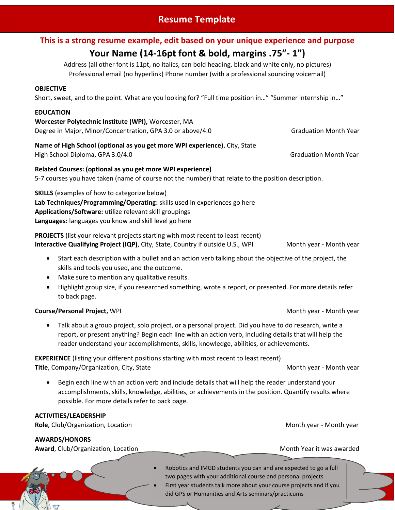## **Resume Template**

### **This is a strong resume example, edit based on your unique experience and purpose**

# **Your Name (14-16pt font & bold, margins .75"- 1")**

Address (all other font is 11pt, no italics, can bold heading, black and white only, no pictures) Professional email (no hyperlink) Phone number (with a professional sounding voicemail)

#### **OBJECTIVE**

Short, sweet, and to the point. What are you looking for? "Full time position in…" "Summer internship in…"

#### **EDUCATION**

**Worcester Polytechnic Institute (WPI),** Worcester, MA Degree in Major, Minor/Concentration, GPA 3.0 or above/4.0 Graduation Month Year

#### **Name of High School (optional as you get more WPI experience)**, City, State High School Diploma, GPA 3.0/4.0 Graduation Month Year and School Diploma, GPA 3.0/4.0

**Related Courses: (optional as you get more WPI experience)** 5-7 courses you have taken (name of course not the number) that relate to the position description.

**SKILLS** (examples of how to categorize below) **Lab Techniques/Programming/Operating:** skills used in experiences go here **Applications/Software:** utilize relevant skill groupings **Languages:** languages you know and skill level go here

**PROJECTS** (list your relevant projects starting with most recent to least recent) **Interactive Qualifying Project (IQP)**, City, State, Country if outside U.S., WPI Month year - Month year

- Start each description with a bullet and an action verb talking about the objective of the project, the skills and tools you used, and the outcome.
- Make sure to mention any qualitative results.
- Highlight group size, if you researched something, wrote a report, or presented. For more details refer to back page.

### **Course/Personal Project,** WPI Month year - Month year - Month year - Month year - Month year

 Talk about a group project, solo project, or a personal project. Did you have to do research, write a report, or present anything? Begin each line with an action verb, including details that will help the reader understand your accomplishments, skills, knowledge, abilities, or achievements.

**EXPERIENCE** (listing your different positions starting with most recent to least recent) **Title**, Company/Organization, City, State Month year - Month year - Month year - Month year

 Begin each line with an action verb and include details that will help the reader understand your accomplishments, skills, knowledge, abilities, or achievements in the position. Quantify results where possible. For more details refer to back page.

| <b>ACTIVITIES/LEADERSHIP</b><br>Role, Club/Organization, Location | Month year - Month year                                                                                                                                                                                                                                      |
|-------------------------------------------------------------------|--------------------------------------------------------------------------------------------------------------------------------------------------------------------------------------------------------------------------------------------------------------|
| <b>AWARDS/HONORS</b><br>Award, Club/Organization, Location        | Month Year it was awarded                                                                                                                                                                                                                                    |
|                                                                   | Robotics and IMGD students you can and are expected to go a full<br>two pages with your additional course and personal projects<br>First year students talk more about your course projects and if you<br>did GPS or Humanities and Arts seminars/practicums |